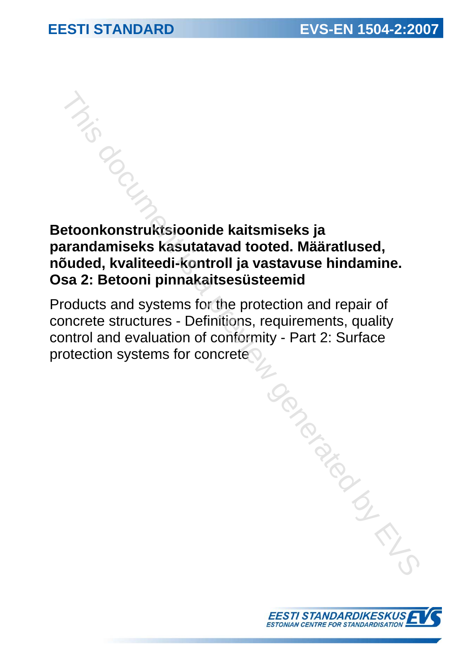# **Betoonkonstruktsioonide kaitsmiseks ja parandamiseks kasutatavad tooted. Määratlused, nõuded, kvaliteedi-kontroll ja vastavuse hindamine. Osa 2: Betooni pinnakaitsesüsteemid**

Products and systems for the protection and repair of concrete structures - Definitions, requirements, quality control and evaluation of conformity - Part 2: Surface protection systems for concrete This document is a previous deconstruktsioonide kaitsmiseks ja<br>
a pradamiseks kasutatavad tooted. Määratlused,<br>
sa 2: Betooni pinnakaitsesüsteemid<br>
roducts and systems for the protection and repair of<br>
protes structures -

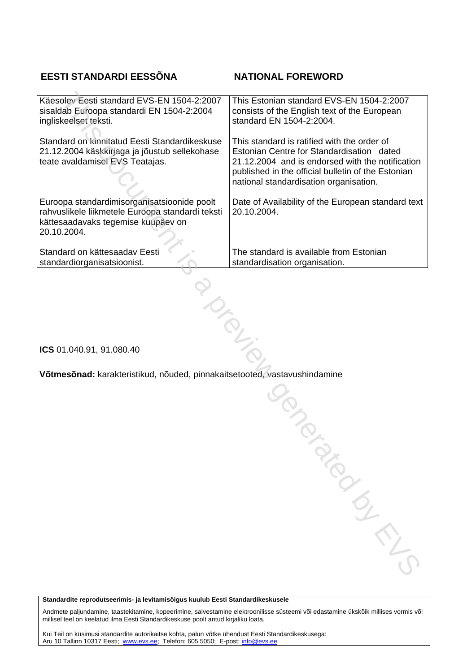# **EESTI STANDARDI EESSÕNA NATIONAL FOREWORD**

| Käesolev Eesti standard EVS-EN 1504-2:2007                                                                                                           | This Estonian standard EVS-EN 1504-2:2007                                                                                                                                                                                                    |
|------------------------------------------------------------------------------------------------------------------------------------------------------|----------------------------------------------------------------------------------------------------------------------------------------------------------------------------------------------------------------------------------------------|
| sisaldab Euroopa standardi EN 1504-2:2004                                                                                                            | consists of the English text of the European                                                                                                                                                                                                 |
| ingliskeelset teksti.                                                                                                                                | standard EN 1504-2:2004.                                                                                                                                                                                                                     |
| Standard on kinnitatud Eesti Standardikeskuse<br>21.12.2004 käskkirjaga ja jõustub sellekohase<br>teate avaldamisel EVS Teatajas.                    | This standard is ratified with the order of<br>Estonian Centre for Standardisation dated<br>21.12.2004 and is endorsed with the notification<br>published in the official bulletin of the Estonian<br>national standardisation organisation. |
| Euroopa standardimisorganisatsioonide poolt<br>rahvuslikele liikmetele Euroopa standardi teksti<br>kättesaadavaks tegemise kuupäev on<br>20.10.2004. | Date of Availability of the European standard text<br>20.10.2004.                                                                                                                                                                            |
| Standard on kättesaadav Eesti                                                                                                                        | The standard is available from Estonian                                                                                                                                                                                                      |
| standardiorganisatsioonist.                                                                                                                          | standardisation organisation.                                                                                                                                                                                                                |

**ICS** 01.040.91, 91.080.40

**Võtmesõnad:** karakteristikud, nõuded, pinnakaitsetooted, vastavushindamine The pinnakaitsetooted, vastavushindamine

**Standardite reprodutseerimis- ja levitamisõigus kuulub Eesti Standardikeskusele** 

Andmete paljundamine, taastekitamine, kopeerimine, salvestamine elektroonilisse süsteemi või edastamine ükskõik millises vormis või millisel teel on keelatud ilma Eesti Standardikeskuse poolt antud kirjaliku loata.

Kui Teil on küsimusi standardite autorikaitse kohta, palun võtke ühendust Eesti Standardikeskusega: Aru 10 Tallinn 10317 Eesti; www.evs.ee; Telefon: 605 5050; E-post: info@evs.ee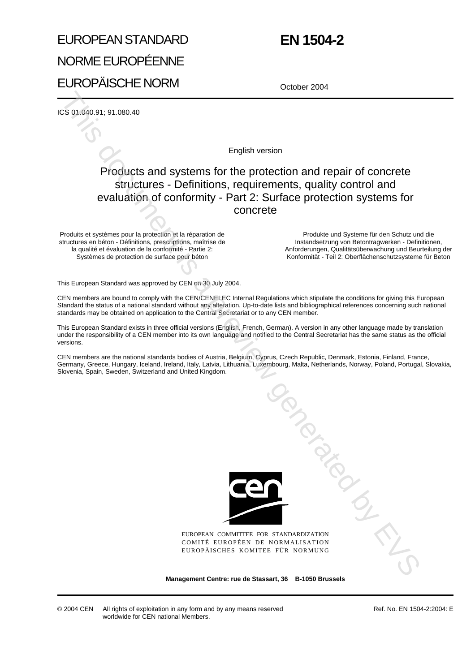# EUROPEAN STANDARD NORME EUROPÉENNE EUROPÄISCHE NORM

| <b>EN 1504-2</b> |  |
|------------------|--|
|------------------|--|

October 2004

ICS 01.040.91; 91.080.40

English version

# Products and systems for the protection and repair of concrete structures - Definitions, requirements, quality control and evaluation of conformity - Part 2: Surface protection systems for concrete

Produits et systèmes pour la protection et la réparation de structures en béton - Définitions, prescriptions, maîtrise de la qualité et évaluation de la conformité - Partie 2: Systèmes de protection de surface pour béton

Produkte und Systeme für den Schutz und die Instandsetzung von Betontragwerken - Definitionen, Anforderungen, Qualitätsüberwachung und Beurteilung der Konformität - Teil 2: Oberflächenschutzsysteme für Beton

This European Standard was approved by CEN on 30 July 2004.

CEN members are bound to comply with the CEN/CENELEC Internal Regulations which stipulate the conditions for giving this European Standard the status of a national standard without any alteration. Up-to-date lists and bibliographical references concerning such national standards may be obtained on application to the Central Secretariat or to any CEN member.

This European Standard exists in three official versions (English, French, German). A version in any other language made by translation under the responsibility of a CEN member into its own language and notified to the Central Secretariat has the same status as the official versions.

CEN members are the national standards bodies of Austria, Belgium, Cyprus, Czech Republic, Denmark, Estonia, Finland, France, Germany, Greece, Hungary, Iceland, Ireland, Italy, Latvia, Lithuania, Luxembourg, Malta, Netherlands, Norway, Poland, Portugal, Slovakia, Slovenia, Spain, Sweden, Switzerland and United Kingdom.



EUROPEAN COMMITTEE FOR STANDARDIZATION COMITÉ EUROPÉEN DE NORMALISATION EUROPÄISCHES KOMITEE FÜR NORMUNG January Contemporary

**Management Centre: rue de Stassart, 36 B-1050 Brussels**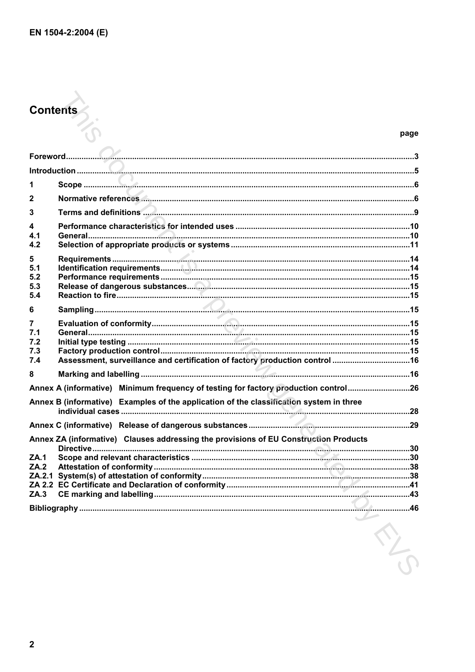# **Contents**

| 1                                     |                                                                                         |  |
|---------------------------------------|-----------------------------------------------------------------------------------------|--|
| 2                                     |                                                                                         |  |
| 3                                     |                                                                                         |  |
| $\overline{\mathbf{4}}$<br>4.1<br>4.2 |                                                                                         |  |
| 5<br>5.1<br>5.2<br>5.3<br>5.4         |                                                                                         |  |
| 6                                     | - 3                                                                                     |  |
| 7<br>7.1<br>7.2<br>7.3<br>7.4         | Assessment, surveillance and certification of factory production control 16             |  |
| 8                                     |                                                                                         |  |
|                                       | Annex A (informative) Minimum frequency of testing for factory production control26     |  |
|                                       | Annex B (informative) Examples of the application of the classification system in three |  |
|                                       |                                                                                         |  |
|                                       | Annex ZA (informative) Clauses addressing the provisions of EU Construction Products    |  |
| ZA.1<br>ZA.2<br>ZA.3                  |                                                                                         |  |
|                                       | $\sim$ 46<br>Bibliography                                                               |  |
|                                       |                                                                                         |  |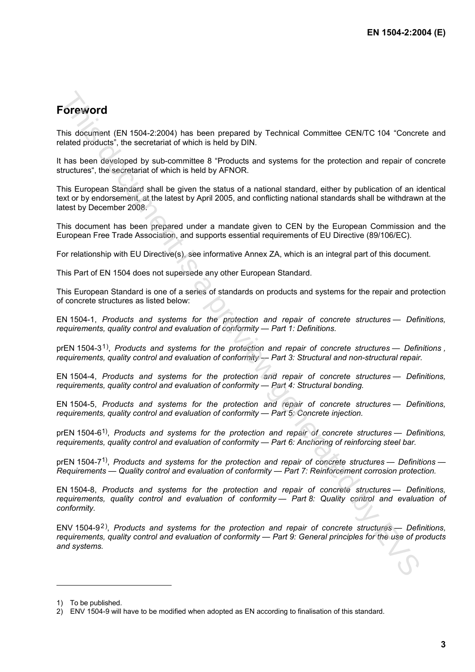# **Foreword**

This document (EN 1504-2:2004) has been prepared by Technical Committee CEN/TC 104 "Concrete and related products", the secretariat of which is held by DIN.

It has been developed by sub-committee 8 "Products and systems for the protection and repair of concrete structures", the secretariat of which is held by AFNOR.

This European Standard shall be given the status of a national standard, either by publication of an identical text or by endorsement, at the latest by April 2005, and conflicting national standards shall be withdrawn at the latest by December 2008.

This document has been prepared under a mandate given to CEN by the European Commission and the European Free Trade Association, and supports essential requirements of EU Directive (89/106/EC).

For relationship with EU Directive(s), see informative Annex ZA, which is an integral part of this document.

This Part of EN 1504 does not supersede any other European Standard.

This European Standard is one of a series of standards on products and systems for the repair and protection of concrete structures as listed below:

EN 1504-1, *Products and systems for the protection and repair of concrete structures — Definitions, requirements, quality control and evaluation of conformity — Part 1: Definitions.*

prEN 1504-3<sup>1</sup>), *Products and systems for the protection and repair of concrete structures — Definitions*, *requirements, quality control and evaluation of conformity — Part 3: Structural and non-structural repair.*

EN 1504-4, *Products and systems for the protection and repair of concrete structures — Definitions, requirements, quality control and evaluation of conformity — Part 4: Structural bonding.*

EN 1504-5, *Products and systems for the protection and repair of concrete structures — Definitions, requirements, quality control and evaluation of conformity — Part 5: Concrete injection.*

prEN 1504-61), *Products and systems for the protection and repair of concrete structures — Definitions, requirements, quality control and evaluation of conformity — Part 6: Anchoring of reinforcing steel bar.*

prEN 1504-71), *Products and systems for the protection and repair of concrete structures — Definitions — Requirements — Quality control and evaluation of conformity — Part 7: Reinforcement corrosion protection.*

EN 1504-8, *Products and systems for the protection and repair of concrete structures — Definitions, requirements, quality control and evaluation of conformity — Part 8: Quality control and evaluation of conformity.* **Forewoord**<br>This document (EN 1504-22004) has been prepared by Technical Committee CENTC 104 "Concerted<br>telestion products", the secretarist of which is held by DNN.<br>This Linear Distributed is a previous matter of the line

ENV 1504-92), *Products and systems for the protection and repair of concrete structures — Definitions, requirements, quality control and evaluation of conformity — Part 9: General principles for the use of products and systems.*

 $\overline{a}$ 

<sup>1)</sup> To be published.

<sup>2)</sup> ENV 1504-9 will have to be modified when adopted as EN according to finalisation of this standard.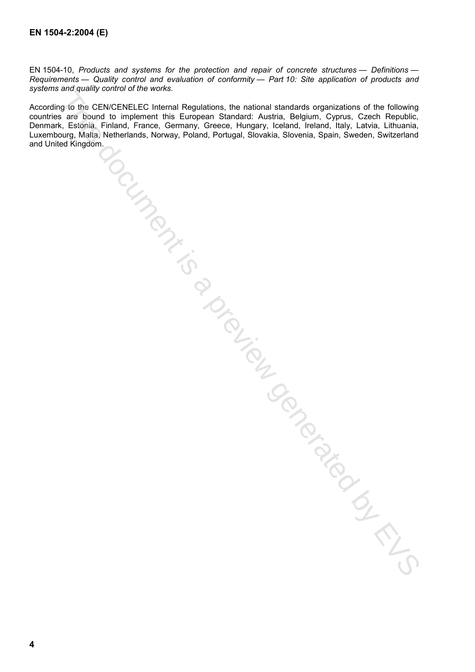EN 1504-10, *Products and systems for the protection and repair of concrete structures — Definitions — Requirements — Quality control and evaluation of conformity — Part 10: Site application of products and systems and quality control of the works.* 

According to the CEN/CENELEC Internal Regulations, the national standards organizations of the following countries are bound to implement this European Standard: Austria, Belgium, Cyprus, Czech Republic, Denmark, Estonia, Finland, France, Germany, Greece, Hungary, Iceland, Ireland, Italy, Latvia, Lithuania, Luxembourg, Malta, Netherlands, Norway, Poland, Portugal, Slovakia, Slovenia, Spain, Sweden, Switzerland and United Kingdom.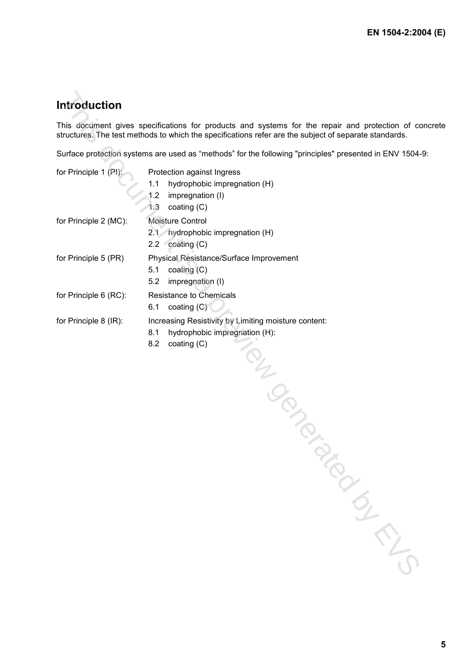# **Introduction**

This document gives specifications for products and systems for the repair and protection of concrete structures. The test methods to which the specifications refer are the subject of separate standards.

| Introduction          |                                                                                                                                                                                                          |
|-----------------------|----------------------------------------------------------------------------------------------------------------------------------------------------------------------------------------------------------|
|                       | This document gives specifications for products and systems for the repair and protection of co<br>structures. The test methods to which the specifications refer are the subject of separate standards. |
|                       | Surface protection systems are used as "methods" for the following "principles" presented in ENV 1504-                                                                                                   |
| for Principle 1 (PI): | Protection against Ingress<br>1.1<br>hydrophobic impregnation (H)<br>1.2<br>impregnation (I)<br>1.3<br>coating (C)                                                                                       |
| for Principle 2 (MC): | Moisture Control<br>2.1 hydrophobic impregnation (H)<br>2.2 $\cot(\cos(C))$                                                                                                                              |
| for Principle 5 (PR)  | Physical Resistance/Surface Improvement<br>coating (C)<br>5.1<br>5.2<br>impregnation (I)                                                                                                                 |
| for Principle 6 (RC): | <b>Resistance to Chemicals</b><br>coating $(C)$<br>6.1                                                                                                                                                   |
| for Principle 8 (IR): | Increasing Resistivity by Limiting moisture content:<br>hydrophobic impregnation (H):<br>8.1<br>8.2<br>coating $(C)$<br>TON BOOM                                                                         |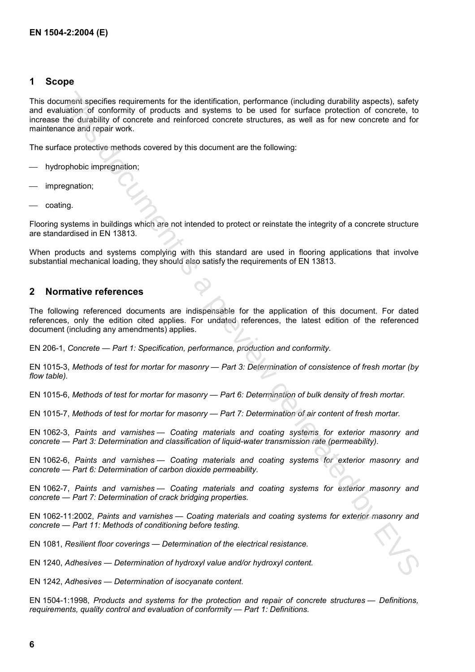## **1 Scope**

This document specifies requirements for the identification, performance (including durability aspects), safety and evaluation of conformity of products and systems to be used for surface protection of concrete, to increase the durability of concrete and reinforced concrete structures, as well as for new concrete and for maintenance and repair work. umate specifies requires in the identification, performance (including durability aspecta), safety<br>ultimate specifies and the including and - spleady by the used to suitable protection of the constrained by the<br>model of un

The surface protective methods covered by this document are the following:

- hydrophobic impregnation;
- impregnation;
- coating.

Flooring systems in buildings which are not intended to protect or reinstate the integrity of a concrete structure are standardised in EN 13813.

When products and systems complying with this standard are used in flooring applications that involve substantial mechanical loading, they should also satisfy the requirements of EN 13813.

## **2 Normative references**

The following referenced documents are indispensable for the application of this document. For dated references, only the edition cited applies. For undated references, the latest edition of the referenced document (including any amendments) applies.

EN 206-1, *Concrete — Part 1: Specification, performance, production and conformity.*

EN 1015-3, *Methods of test for mortar for masonry — Part 3: Determination of consistence of fresh mortar (by flow table).*

EN 1015-6, *Methods of test for mortar for masonry — Part 6: Determination of bulk density of fresh mortar.*

EN 1015-7, *Methods of test for mortar for masonry — Part 7: Determination of air content of fresh mortar.*

EN 1062-3, *Paints and varnishes — Coating materials and coating systems for exterior masonry and concrete — Part 3: Determination and classification of liquid-water transmission rate (permeability).*

EN 1062-6, *Paints and varnishes — Coating materials and coating systems for exterior masonry and concrete — Part 6: Determination of carbon dioxide permeability.*

EN 1062-7, *Paints and varnishes — Coating materials and coating systems for exterior masonry and concrete — Part 7: Determination of crack bridging properties.*

EN 1062-11:2002, *Paints and varnishes — Coating materials and coating systems for exterior masonry and concrete — Part 11: Methods of conditioning before testing.*

EN 1081, *Resilient floor coverings — Determination of the electrical resistance.*

EN 1240, *Adhesives — Determination of hydroxyl value and/or hydroxyl content.*

EN 1242, *Adhesives — Determination of isocyanate content.*

EN 1504-1:1998, *Products and systems for the protection and repair of concrete structures — Definitions, requirements, quality control and evaluation of conformity — Part 1: Definitions.*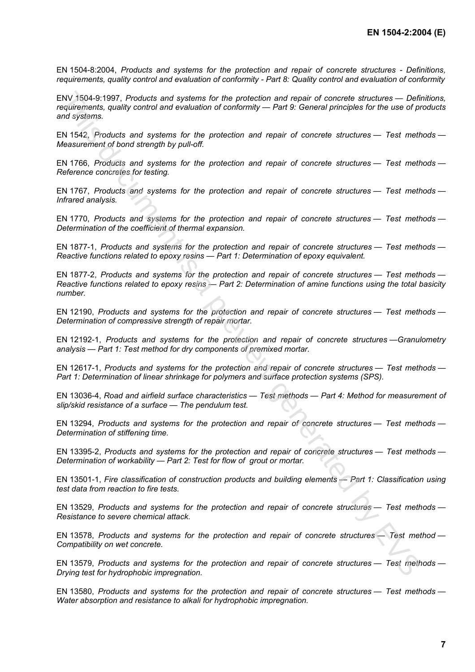EN 1504-8:2004, *Products and systems for the protection and repair of concrete structures - Definitions, requirements, quality control and evaluation of conformity - Part 8: Quality control and evaluation of conformity*

ENV 1504-9:1997, *Products and systems for the protection and repair of concrete structures — Definitions, requirements, quality control and evaluation of conformity — Part 9: General principles for the use of products and systems.* NV 1894 ST Products and systems for the protection and repair of concrete structures — Dest meth<br>
Novinguents, quality control and evaluation of conformity — Part 9: General principles for the use of preview<br>
and systems.

EN 1542, *Products and systems for the protection and repair of concrete structures — Test methods — Measurement of bond strength by pull-off.*

EN 1766, *Products and systems for the protection and repair of concrete structures — Test methods — Reference concretes for testing.*

EN 1767, *Products and systems for the protection and repair of concrete structures — Test methods — Infrared analysis.*

EN 1770, *Products and systems for the protection and repair of concrete structures — Test methods — Determination of the coefficient of thermal expansion.*

EN 1877-1, *Products and systems for the protection and repair of concrete structures — Test methods — Reactive functions related to epoxy resins — Part 1: Determination of epoxy equivalent.*

EN 1877-2, *Products and systems for the protection and repair of concrete structures — Test methods — Reactive functions related to epoxy resins — Part 2: Determination of amine functions using the total basicity number.*

EN 12190, *Products and systems for the protection and repair of concrete structures — Test methods — Determination of compressive strength of repair mortar.*

EN 12192-1, *Products and systems for the protection and repair of concrete structures —Granulometry analysis — Part 1: Test method for dry components of premixed mortar.*

EN 12617-1, *Products and systems for the protection and repair of concrete structures — Test methods — Part 1: Determination of linear shrinkage for polymers and surface protection systems (SPS).*

EN 13036-4, *Road and airfield surface characteristics — Test methods — Part 4: Method for measurement of slip/skid resistance of a surface — The pendulum test.*

EN 13294, *Products and systems for the protection and repair of concrete structures — Test methods — Determination of stiffening time.*

EN 13395-2, *Products and systems for the protection and repair of concrete structures — Test methods — Determination of workability — Part 2: Test for flow of grout or mortar.*

EN 13501-1, *Fire classification of construction products and building elements — Part 1: Classification using test data from reaction to fire tests.*

EN 13529, *Products and systems for the protection and repair of concrete structures — Test methods — Resistance to severe chemical attack.*

EN 13578, *Products and systems for the protection and repair of concrete structures — Test method — Compatibility on wet concrete.*

EN 13579, *Products and systems for the protection and repair of concrete structures — Test methods — Drying test for hydrophobic impregnation.*

EN 13580, *Products and systems for the protection and repair of concrete structures — Test methods — Water absorption and resistance to alkali for hydrophobic impregnation.*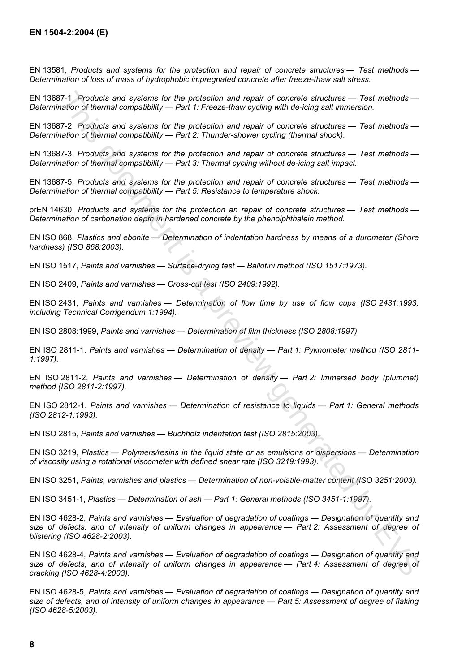EN 13581, *Products and systems for the protection and repair of concrete structures — Test methods — Determination of loss of mass of hydrophobic impregnated concrete after freeze-thaw salt stress.*

EN 13687-1, *Products and systems for the protection and repair of concrete structures — Test methods — Determination of thermal compatibility — Part 1: Freeze-thaw cycling with de-icing salt immersion.*

EN 13687-2, *Products and systems for the protection and repair of concrete structures — Test methods — Determination of thermal compatibility — Part 2: Thunder-shower cycling (thermal shock).*

EN 13687-3, *Products and systems for the protection and repair of concrete structures — Test methods — Determination of thermal compatibility — Part 3: Thermal cycling without de-icing salt impact.*

EN 13687-5, *Products and systems for the protection and repair of concrete structures — Test methods — Determination of thermal compatibility — Part 5: Resistance to temperature shock.*

prEN 14630, *Products and systems for the protection an repair of concrete structures — Test methods — Determination of carbonation depth in hardened concrete by the phenolphthalein method.*

EN ISO 868, *Plastics and ebonite — Determination of indentation hardness by means of a durometer (Shore hardness) (ISO 868:2003).*

EN ISO 1517, *Paints and varnishes — Surface-drying test — Ballotini method (ISO 1517:1973).*

EN ISO 2409, *Paints and varnishes — Cross-cut test (ISO 2409:1992).*

EN ISO 2431, *Paints and varnishes — Determination of flow time by use of flow cups (ISO 2431:1993, including Technical Corrigendum 1:1994).*

EN ISO 2808:1999, *Paints and varnishes — Determination of film thickness (ISO 2808:1997).*

EN ISO 2811-1, *Paints and varnishes — Determination of density — Part 1: Pyknometer method (ISO 2811- 1:1997).*

EN ISO 2811-2, *Paints and varnishes — Determination of density — Part 2: Immersed body (plummet) method (ISO 2811-2:1997).*

EN ISO 2812-1, *Paints and varnishes — Determination of resistance to liquids — Part 1: General methods (ISO 2812-1:1993).*

EN ISO 2815, *Paints and varnishes — Buchholz indentation test (ISO 2815:2003).*

EN ISO 3219, *Plastics — Polymers/resins in the liquid state or as emulsions or dispersions — Determination of viscosity using a rotational viscometer with defined shear rate (ISO 3219:1993).*

EN ISO 3251, *Paints, varnishes and plastics — Determination of non-volatile-matter content (ISO 3251:2003).*

EN ISO 3451-1, *Plastics — Determination of ash — Part 1: General methods (ISO 3451-1:1997).*

EN ISO 4628-2, *Paints and varnishes — Evaluation of degradation of coatings — Designation of quantity and size of defects, and of intensity of uniform changes in appearance — Part 2: Assessment of degree of blistering (ISO 4628-2:2003).*

EN ISO 4628-4, *Paints and varnishes — Evaluation of degradation of coatings — Designation of quantity and size of defects, and of intensity of uniform changes in appearance — Part 4: Assessment of degree of cracking (ISO 4628-4:2003).* 11. Products and systems for the protecton and repoint of concrete structures - Test methods<br>
This Products and systems for the protection and repoint of concrete structures - Test methods<br>
7.2. Products and systems for th

EN ISO 4628-5, *Paints and varnishes — Evaluation of degradation of coatings — Designation of quantity and size of defects, and of intensity of uniform changes in appearance — Part 5: Assessment of degree of flaking (ISO 4628-5:2003).*